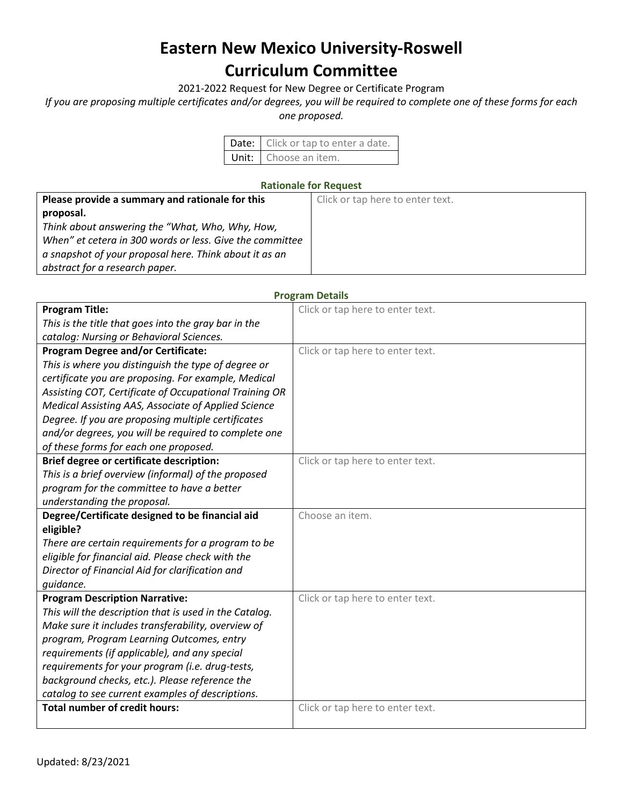# **Eastern New Mexico University-Roswell Curriculum Committee**

2021-2022 Request for New Degree or Certificate Program

*If you are proposing multiple certificates and/or degrees, you will be required to complete one of these forms for each* 

*one proposed.*

| Date: Click or tap to enter a date. |
|-------------------------------------|
| Unit: Choose an item.               |

## **Rationale for Request**

| Please provide a summary and rationale for this          | Click or tap here to enter text. |
|----------------------------------------------------------|----------------------------------|
| proposal.                                                |                                  |
| Think about answering the "What, Who, Why, How,          |                                  |
| When" et cetera in 300 words or less. Give the committee |                                  |
| a snapshot of your proposal here. Think about it as an   |                                  |
| abstract for a research paper.                           |                                  |

| <b>Program Title:</b>                                  | Click or tap here to enter text. |
|--------------------------------------------------------|----------------------------------|
| This is the title that goes into the gray bar in the   |                                  |
| catalog: Nursing or Behavioral Sciences.               |                                  |
| <b>Program Degree and/or Certificate:</b>              | Click or tap here to enter text. |
| This is where you distinguish the type of degree or    |                                  |
| certificate you are proposing. For example, Medical    |                                  |
| Assisting COT, Certificate of Occupational Training OR |                                  |
| Medical Assisting AAS, Associate of Applied Science    |                                  |
| Degree. If you are proposing multiple certificates     |                                  |
| and/or degrees, you will be required to complete one   |                                  |
| of these forms for each one proposed.                  |                                  |
| <b>Brief degree or certificate description:</b>        | Click or tap here to enter text. |
| This is a brief overview (informal) of the proposed    |                                  |
| program for the committee to have a better             |                                  |
| understanding the proposal.                            |                                  |
| Degree/Certificate designed to be financial aid        | Choose an item.                  |
| eligible?                                              |                                  |
| There are certain requirements for a program to be     |                                  |
| eligible for financial aid. Please check with the      |                                  |
| Director of Financial Aid for clarification and        |                                  |
| quidance.                                              |                                  |
| <b>Program Description Narrative:</b>                  | Click or tap here to enter text. |
| This will the description that is used in the Catalog. |                                  |
| Make sure it includes transferability, overview of     |                                  |
| program, Program Learning Outcomes, entry              |                                  |
| requirements (if applicable), and any special          |                                  |
| requirements for your program (i.e. drug-tests,        |                                  |
| background checks, etc.). Please reference the         |                                  |
| catalog to see current examples of descriptions.       |                                  |
| <b>Total number of credit hours:</b>                   | Click or tap here to enter text. |
|                                                        |                                  |

## **Program Details**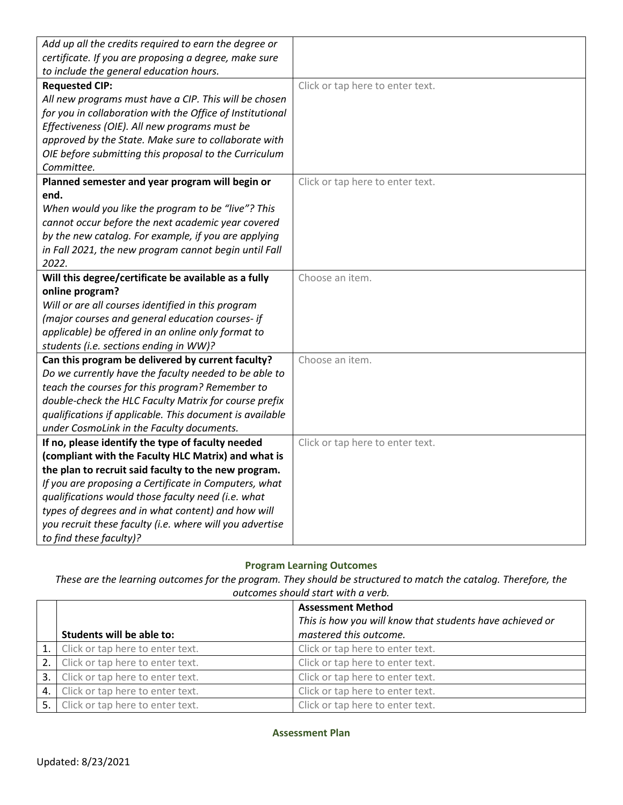| Add up all the credits required to earn the degree or     |                                  |
|-----------------------------------------------------------|----------------------------------|
| certificate. If you are proposing a degree, make sure     |                                  |
| to include the general education hours.                   |                                  |
| <b>Requested CIP:</b>                                     | Click or tap here to enter text. |
| All new programs must have a CIP. This will be chosen     |                                  |
| for you in collaboration with the Office of Institutional |                                  |
| Effectiveness (OIE). All new programs must be             |                                  |
| approved by the State. Make sure to collaborate with      |                                  |
| OIE before submitting this proposal to the Curriculum     |                                  |
| Committee.                                                |                                  |
| Planned semester and year program will begin or           | Click or tap here to enter text. |
| end.                                                      |                                  |
| When would you like the program to be "live"? This        |                                  |
| cannot occur before the next academic year covered        |                                  |
| by the new catalog. For example, if you are applying      |                                  |
| in Fall 2021, the new program cannot begin until Fall     |                                  |
| 2022.                                                     |                                  |
| Will this degree/certificate be available as a fully      | Choose an item.                  |
| online program?                                           |                                  |
| Will or are all courses identified in this program        |                                  |
| (major courses and general education courses- if          |                                  |
| applicable) be offered in an online only format to        |                                  |
| students (i.e. sections ending in WW)?                    |                                  |
| Can this program be delivered by current faculty?         | Choose an item.                  |
| Do we currently have the faculty needed to be able to     |                                  |
| teach the courses for this program? Remember to           |                                  |
| double-check the HLC Faculty Matrix for course prefix     |                                  |
| qualifications if applicable. This document is available  |                                  |
| under CosmoLink in the Faculty documents.                 |                                  |
| If no, please identify the type of faculty needed         | Click or tap here to enter text. |
| (compliant with the Faculty HLC Matrix) and what is       |                                  |
| the plan to recruit said faculty to the new program.      |                                  |
| If you are proposing a Certificate in Computers, what     |                                  |
| qualifications would those faculty need (i.e. what        |                                  |
| types of degrees and in what content) and how will        |                                  |
| you recruit these faculty (i.e. where will you advertise  |                                  |
| to find these faculty)?                                   |                                  |

# **Program Learning Outcomes**

*These are the learning outcomes for the program. They should be structured to match the catalog. Therefore, the outcomes should start with a verb.*

|    | Students will be able to:           | <b>Assessment Method</b><br>This is how you will know that students have achieved or<br>mastered this outcome. |
|----|-------------------------------------|----------------------------------------------------------------------------------------------------------------|
|    | 1. Click or tap here to enter text. | Click or tap here to enter text.                                                                               |
|    | 2. Click or tap here to enter text. | Click or tap here to enter text.                                                                               |
| 3. | Click or tap here to enter text.    | Click or tap here to enter text.                                                                               |
|    | 4. Click or tap here to enter text. | Click or tap here to enter text.                                                                               |
|    | 5. Click or tap here to enter text. | Click or tap here to enter text.                                                                               |

**Assessment Plan**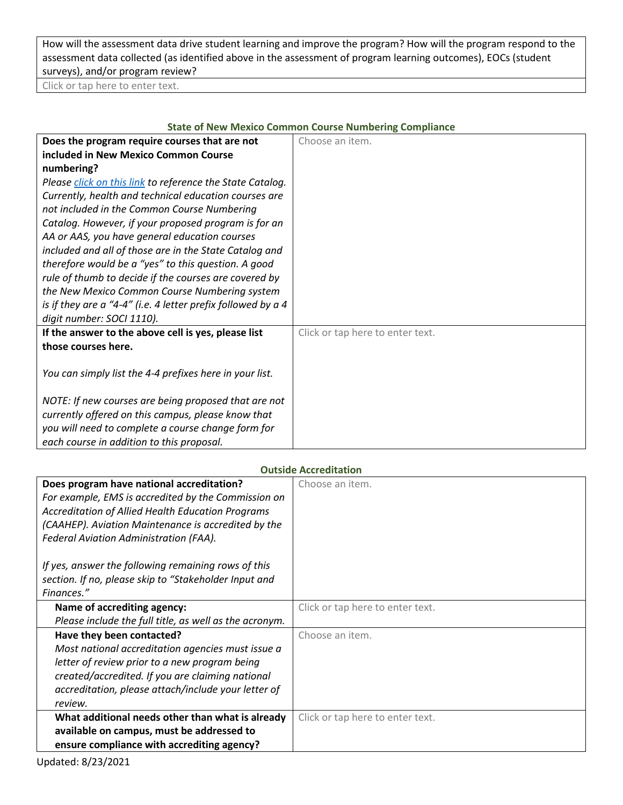How will the assessment data drive student learning and improve the program? How will the program respond to the assessment data collected (as identified above in the assessment of program learning outcomes), EOCs (student surveys), and/or program review?

Click or tap here to enter text.

| State of New Mexico Common Course Numbering Compliance       |                                  |  |
|--------------------------------------------------------------|----------------------------------|--|
| Does the program require courses that are not                | Choose an item.                  |  |
| included in New Mexico Common Course                         |                                  |  |
| numbering?                                                   |                                  |  |
| Please click on this link to reference the State Catalog.    |                                  |  |
| Currently, health and technical education courses are        |                                  |  |
| not included in the Common Course Numbering                  |                                  |  |
| Catalog. However, if your proposed program is for an         |                                  |  |
| AA or AAS, you have general education courses                |                                  |  |
| included and all of those are in the State Catalog and       |                                  |  |
| therefore would be a "yes" to this question. A good          |                                  |  |
| rule of thumb to decide if the courses are covered by        |                                  |  |
| the New Mexico Common Course Numbering system                |                                  |  |
| is if they are a "4-4" (i.e. 4 letter prefix followed by a 4 |                                  |  |
| digit number: SOCI 1110).                                    |                                  |  |
| If the answer to the above cell is yes, please list          | Click or tap here to enter text. |  |
| those courses here.                                          |                                  |  |
|                                                              |                                  |  |
| You can simply list the 4-4 prefixes here in your list.      |                                  |  |
|                                                              |                                  |  |
| NOTE: If new courses are being proposed that are not         |                                  |  |
| currently offered on this campus, please know that           |                                  |  |
| you will need to complete a course change form for           |                                  |  |
| each course in addition to this proposal.                    |                                  |  |

# **State of New Mexico Common Course Numbering Compliance**

| <b>Outside Accreditation</b>                             |                                  |  |
|----------------------------------------------------------|----------------------------------|--|
| Does program have national accreditation?                | Choose an item.                  |  |
| For example, EMS is accredited by the Commission on      |                                  |  |
| <b>Accreditation of Allied Health Education Programs</b> |                                  |  |
| (CAAHEP). Aviation Maintenance is accredited by the      |                                  |  |
| Federal Aviation Administration (FAA).                   |                                  |  |
|                                                          |                                  |  |
| If yes, answer the following remaining rows of this      |                                  |  |
| section. If no, please skip to "Stakeholder Input and    |                                  |  |
| Finances."                                               |                                  |  |
| Name of accrediting agency:                              | Click or tap here to enter text. |  |
| Please include the full title, as well as the acronym.   |                                  |  |
| Have they been contacted?                                | Choose an item.                  |  |
| Most national accreditation agencies must issue a        |                                  |  |
| letter of review prior to a new program being            |                                  |  |
| created/accredited. If you are claiming national         |                                  |  |
| accreditation, please attach/include your letter of      |                                  |  |
| review.                                                  |                                  |  |
| What additional needs other than what is already         | Click or tap here to enter text. |  |
| available on campus, must be addressed to                |                                  |  |
| ensure compliance with accrediting agency?               |                                  |  |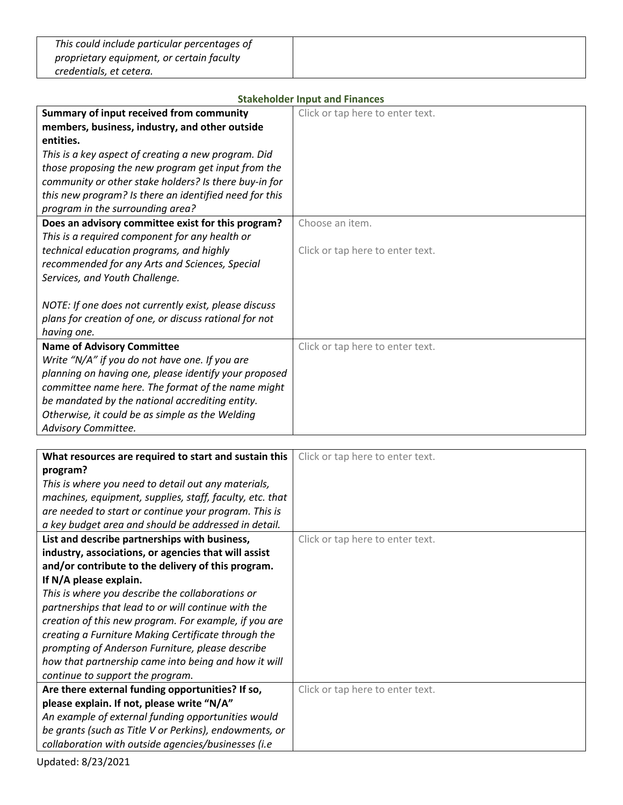| This could include particular percentages of |  |
|----------------------------------------------|--|
| proprietary equipment, or certain faculty    |  |
| credentials, et cetera.                      |  |

| <b>Stakeholder Input and Finances</b>                                                                                                                                                                                                                                                                                                                                       |                                                     |  |
|-----------------------------------------------------------------------------------------------------------------------------------------------------------------------------------------------------------------------------------------------------------------------------------------------------------------------------------------------------------------------------|-----------------------------------------------------|--|
| Summary of input received from community<br>members, business, industry, and other outside<br>entities.<br>This is a key aspect of creating a new program. Did<br>those proposing the new program get input from the<br>community or other stake holders? Is there buy-in for<br>this new program? Is there an identified need for this<br>program in the surrounding area? | Click or tap here to enter text.                    |  |
| Does an advisory committee exist for this program?<br>This is a required component for any health or<br>technical education programs, and highly<br>recommended for any Arts and Sciences, Special<br>Services, and Youth Challenge.<br>NOTE: If one does not currently exist, please discuss<br>plans for creation of one, or discuss rational for not<br>having one.      | Choose an item.<br>Click or tap here to enter text. |  |
| <b>Name of Advisory Committee</b><br>Write "N/A" if you do not have one. If you are<br>planning on having one, please identify your proposed<br>committee name here. The format of the name might<br>be mandated by the national accrediting entity.<br>Otherwise, it could be as simple as the Welding<br>Advisory Committee.                                              | Click or tap here to enter text.                    |  |

| What resources are required to start and sustain this    | Click or tap here to enter text. |
|----------------------------------------------------------|----------------------------------|
| program?                                                 |                                  |
| This is where you need to detail out any materials,      |                                  |
| machines, equipment, supplies, staff, faculty, etc. that |                                  |
| are needed to start or continue your program. This is    |                                  |
| a key budget area and should be addressed in detail.     |                                  |
| List and describe partnerships with business,            | Click or tap here to enter text. |
| industry, associations, or agencies that will assist     |                                  |
| and/or contribute to the delivery of this program.       |                                  |
| If N/A please explain.                                   |                                  |
| This is where you describe the collaborations or         |                                  |
| partnerships that lead to or will continue with the      |                                  |
| creation of this new program. For example, if you are    |                                  |
| creating a Furniture Making Certificate through the      |                                  |
| prompting of Anderson Furniture, please describe         |                                  |
| how that partnership came into being and how it will     |                                  |
| continue to support the program.                         |                                  |
| Are there external funding opportunities? If so,         | Click or tap here to enter text. |
| please explain. If not, please write "N/A"               |                                  |
| An example of external funding opportunities would       |                                  |
| be grants (such as Title V or Perkins), endowments, or   |                                  |
| collaboration with outside agencies/businesses (i.e      |                                  |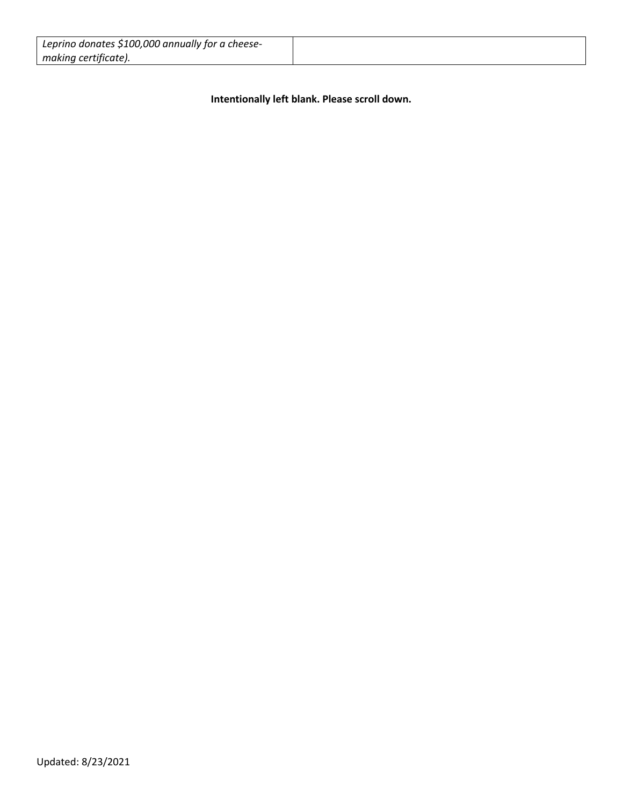| Leprino donates \$100,000 annually for a cheese- |  |
|--------------------------------------------------|--|
| making certificate).                             |  |

**Intentionally left blank. Please scroll down.**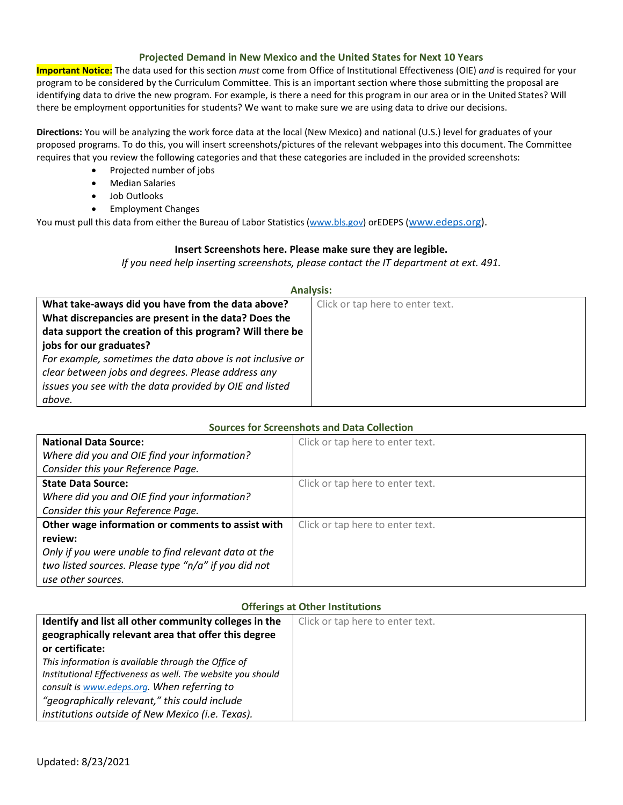#### **Projected Demand in New Mexico and the United States for Next 10 Years**

**Important Notice:** The data used for this section *must* come from Office of Institutional Effectiveness (OIE) *and* is required for your program to be considered by the Curriculum Committee. This is an important section where those submitting the proposal are identifying data to drive the new program. For example, is there a need for this program in our area or in the United States? Will there be employment opportunities for students? We want to make sure we are using data to drive our decisions.

**Directions:** You will be analyzing the work force data at the local (New Mexico) and national (U.S.) level for graduates of your proposed programs. To do this, you will insert screenshots/pictures of the relevant webpages into this document. The Committee requires that you review the following categories and that these categories are included in the provided screenshots:

- Projected number of jobs
- Median Salaries
- Job Outlooks
- Employment Changes

You must pull this data from either the Bureau of Labor Statistics [\(www.bls.gov\)](http://www.bls.gov/) orEDEPS [\(www.edeps.org\)](http://www.edeps.org/).

#### **Insert Screenshots here. Please make sure they are legible.**

*If you need help inserting screenshots, please contact the IT department at ext. 491.* 

#### **Analysis:**

| What take-aways did you have from the data above?         | Click or tap here to enter text. |
|-----------------------------------------------------------|----------------------------------|
| What discrepancies are present in the data? Does the      |                                  |
| data support the creation of this program? Will there be  |                                  |
| jobs for our graduates?                                   |                                  |
| For example, sometimes the data above is not inclusive or |                                  |
| clear between jobs and degrees. Please address any        |                                  |
| issues you see with the data provided by OIE and listed   |                                  |
| above.                                                    |                                  |

### **Sources for Screenshots and Data Collection**

| <b>National Data Source:</b>                         | Click or tap here to enter text. |  |
|------------------------------------------------------|----------------------------------|--|
| Where did you and OIE find your information?         |                                  |  |
| Consider this your Reference Page.                   |                                  |  |
| <b>State Data Source:</b>                            | Click or tap here to enter text. |  |
| Where did you and OIE find your information?         |                                  |  |
| Consider this your Reference Page.                   |                                  |  |
| Other wage information or comments to assist with    | Click or tap here to enter text. |  |
| review:                                              |                                  |  |
| Only if you were unable to find relevant data at the |                                  |  |
| two listed sources. Please type "n/a" if you did not |                                  |  |
| use other sources.                                   |                                  |  |

#### **Offerings at Other Institutions**

| Identify and list all other community colleges in the       | Click or tap here to enter text. |
|-------------------------------------------------------------|----------------------------------|
| geographically relevant area that offer this degree         |                                  |
| or certificate:                                             |                                  |
| This information is available through the Office of         |                                  |
| Institutional Effectiveness as well. The website you should |                                  |
| consult is www.edeps.org. When referring to                 |                                  |
| "geographically relevant," this could include               |                                  |
| institutions outside of New Mexico (i.e. Texas).            |                                  |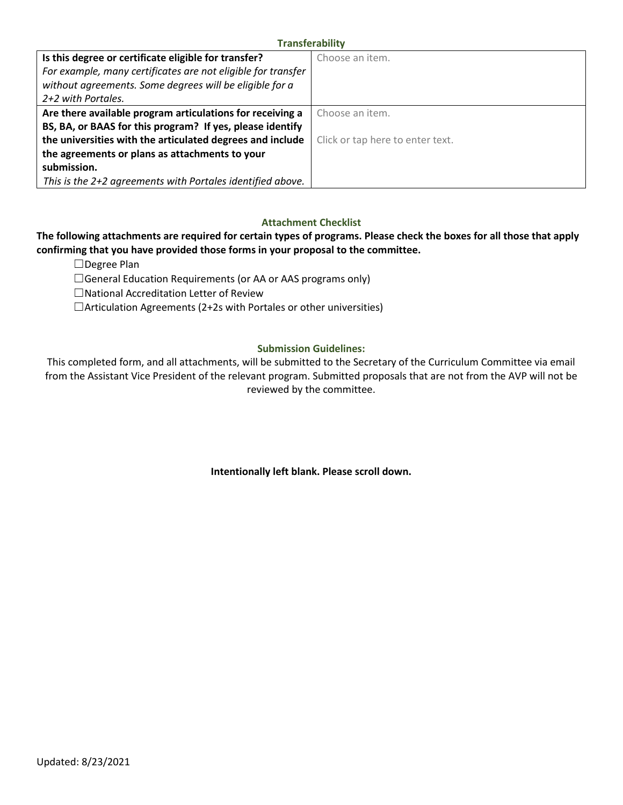#### **Transferability**

| Is this degree or certificate eligible for transfer?         | Choose an item.                  |
|--------------------------------------------------------------|----------------------------------|
| For example, many certificates are not eligible for transfer |                                  |
| without agreements. Some degrees will be eligible for a      |                                  |
| 2+2 with Portales.                                           |                                  |
| Are there available program articulations for receiving a    | Choose an item.                  |
| BS, BA, or BAAS for this program? If yes, please identify    |                                  |
| the universities with the articulated degrees and include    | Click or tap here to enter text. |
| the agreements or plans as attachments to your               |                                  |
| submission.                                                  |                                  |
| This is the 2+2 agreements with Portales identified above.   |                                  |

#### **Attachment Checklist**

## **The following attachments are required for certain types of programs. Please check the boxes for all those that apply confirming that you have provided those forms in your proposal to the committee.**

☐Degree Plan

□General Education Requirements (or AA or AAS programs only)

☐National Accreditation Letter of Review

 $\Box$ Articulation Agreements (2+2s with Portales or other universities)

#### **Submission Guidelines:**

This completed form, and all attachments, will be submitted to the Secretary of the Curriculum Committee via email from the Assistant Vice President of the relevant program. Submitted proposals that are not from the AVP will not be reviewed by the committee.

**Intentionally left blank. Please scroll down.**